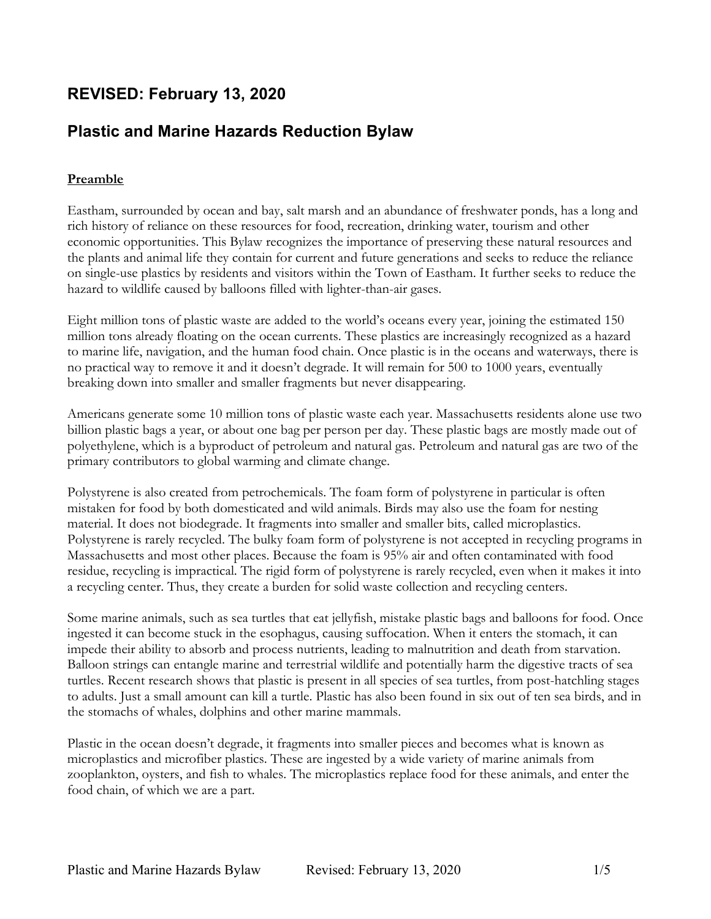# **REVISED: February 13, 2020**

# **Plastic and Marine Hazards Reduction Bylaw**

# **Preamble**

Eastham, surrounded by ocean and bay, salt marsh and an abundance of freshwater ponds, has a long and rich history of reliance on these resources for food, recreation, drinking water, tourism and other economic opportunities. This Bylaw recognizes the importance of preserving these natural resources and the plants and animal life they contain for current and future generations and seeks to reduce the reliance on single-use plastics by residents and visitors within the Town of Eastham. It further seeks to reduce the hazard to wildlife caused by balloons filled with lighter-than-air gases.

Eight million tons of plastic waste are added to the world's oceans every year, joining the estimated 150 million tons already floating on the ocean currents. These plastics are increasingly recognized as a hazard to marine life, navigation, and the human food chain. Once plastic is in the oceans and waterways, there is no practical way to remove it and it doesn't degrade. It will remain for 500 to 1000 years, eventually breaking down into smaller and smaller fragments but never disappearing.

Americans generate some 10 million tons of plastic waste each year. Massachusetts residents alone use two billion plastic bags a year, or about one bag per person per day. These plastic bags are mostly made out of polyethylene, which is a byproduct of petroleum and natural gas. Petroleum and natural gas are two of the primary contributors to global warming and climate change.

Polystyrene is also created from petrochemicals. The foam form of polystyrene in particular is often mistaken for food by both domesticated and wild animals. Birds may also use the foam for nesting material. It does not biodegrade. It fragments into smaller and smaller bits, called microplastics. Polystyrene is rarely recycled. The bulky foam form of polystyrene is not accepted in recycling programs in Massachusetts and most other places. Because the foam is 95% air and often contaminated with food residue, recycling is impractical. The rigid form of polystyrene is rarely recycled, even when it makes it into a recycling center. Thus, they create a burden for solid waste collection and recycling centers.

Some marine animals, such as sea turtles that eat jellyfish, mistake plastic bags and balloons for food. Once ingested it can become stuck in the esophagus, causing suffocation. When it enters the stomach, it can impede their ability to absorb and process nutrients, leading to malnutrition and death from starvation. Balloon strings can entangle marine and terrestrial wildlife and potentially harm the digestive tracts of sea turtles. Recent research shows that plastic is present in all species of sea turtles, from post-hatchling stages to adults. Just a small amount can kill a turtle. Plastic has also been found in six out of ten sea birds, and in the stomachs of whales, dolphins and other marine mammals.

Plastic in the ocean doesn't degrade, it fragments into smaller pieces and becomes what is known as microplastics and microfiber plastics. These are ingested by a wide variety of marine animals from zooplankton, oysters, and fish to whales. The microplastics replace food for these animals, and enter the food chain, of which we are a part.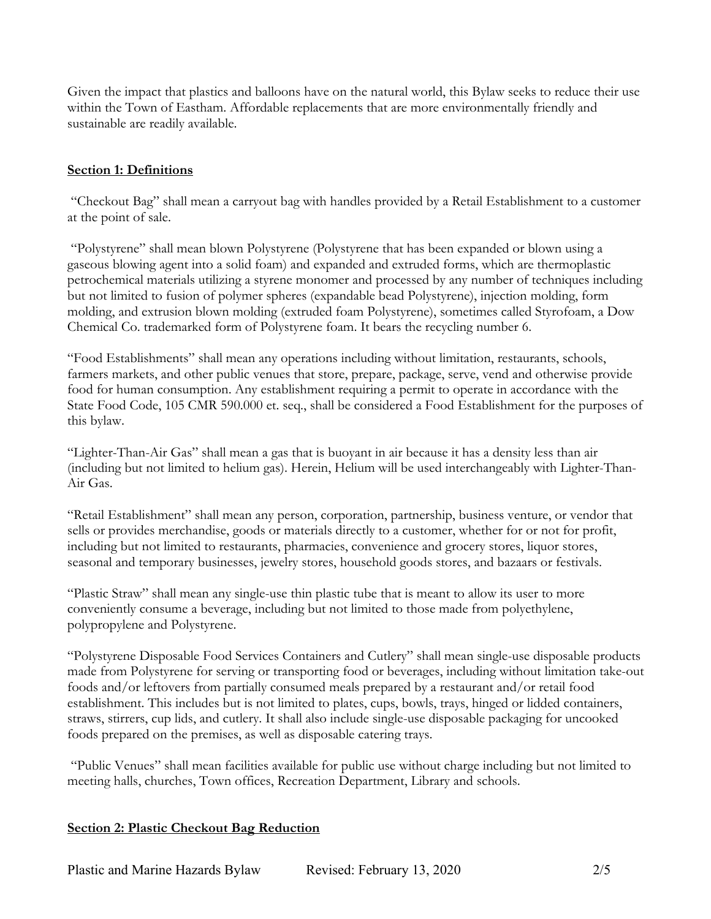Given the impact that plastics and balloons have on the natural world, this Bylaw seeks to reduce their use within the Town of Eastham. Affordable replacements that are more environmentally friendly and sustainable are readily available.

## **Section 1: Definitions**

"Checkout Bag" shall mean a carryout bag with handles provided by a Retail Establishment to a customer at the point of sale.

"Polystyrene" shall mean blown Polystyrene (Polystyrene that has been expanded or blown using a gaseous blowing agent into a solid foam) and expanded and extruded forms, which are thermoplastic petrochemical materials utilizing a styrene monomer and processed by any number of techniques including but not limited to fusion of polymer spheres (expandable bead Polystyrene), injection molding, form molding, and extrusion blown molding (extruded foam Polystyrene), sometimes called Styrofoam, a Dow Chemical Co. trademarked form of Polystyrene foam. It bears the recycling number 6.

"Food Establishments" shall mean any operations including without limitation, restaurants, schools, farmers markets, and other public venues that store, prepare, package, serve, vend and otherwise provide food for human consumption. Any establishment requiring a permit to operate in accordance with the State Food Code, 105 CMR 590.000 et. seq., shall be considered a Food Establishment for the purposes of this bylaw.

"Lighter-Than-Air Gas" shall mean a gas that is buoyant in air because it has a density less than air (including but not limited to helium gas). Herein, Helium will be used interchangeably with Lighter-Than-Air Gas.

"Retail Establishment" shall mean any person, corporation, partnership, business venture, or vendor that sells or provides merchandise, goods or materials directly to a customer, whether for or not for profit, including but not limited to restaurants, pharmacies, convenience and grocery stores, liquor stores, seasonal and temporary businesses, jewelry stores, household goods stores, and bazaars or festivals.

"Plastic Straw" shall mean any single-use thin plastic tube that is meant to allow its user to more conveniently consume a beverage, including but not limited to those made from polyethylene, polypropylene and Polystyrene.

"Polystyrene Disposable Food Services Containers and Cutlery" shall mean single-use disposable products made from Polystyrene for serving or transporting food or beverages, including without limitation take-out foods and/or leftovers from partially consumed meals prepared by a restaurant and/or retail food establishment. This includes but is not limited to plates, cups, bowls, trays, hinged or lidded containers, straws, stirrers, cup lids, and cutlery. It shall also include single-use disposable packaging for uncooked foods prepared on the premises, as well as disposable catering trays.

"Public Venues" shall mean facilities available for public use without charge including but not limited to meeting halls, churches, Town offices, Recreation Department, Library and schools.

#### **Section 2: Plastic Checkout Bag Reduction**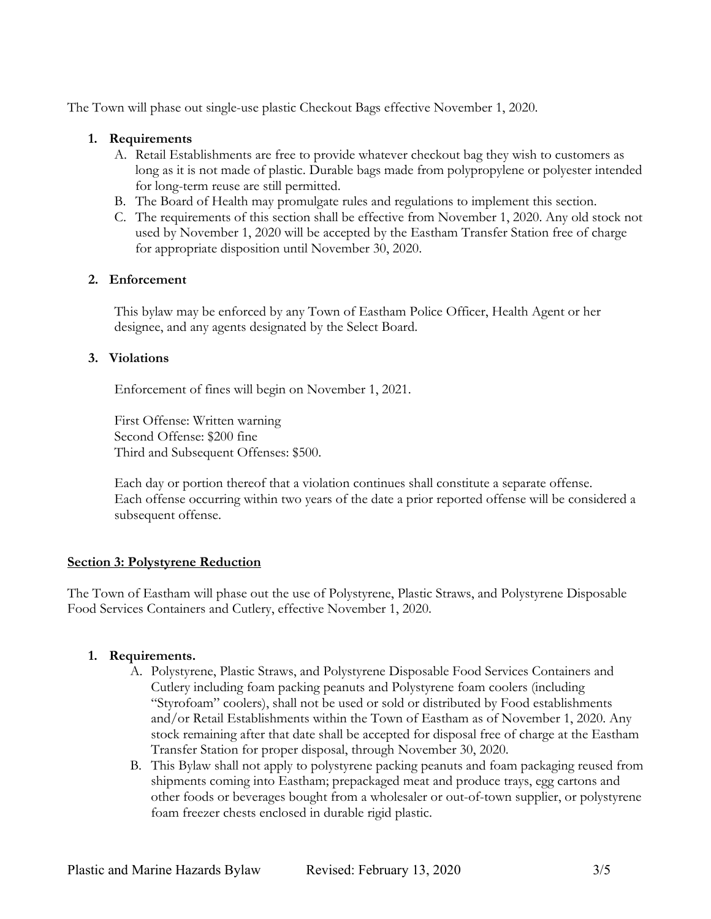The Town will phase out single-use plastic Checkout Bags effective November 1, 2020.

#### **1. Requirements**

- A. Retail Establishments are free to provide whatever checkout bag they wish to customers as long as it is not made of plastic. Durable bags made from polypropylene or polyester intended for long-term reuse are still permitted.
- B. The Board of Health may promulgate rules and regulations to implement this section.
- C. The requirements of this section shall be effective from November 1, 2020. Any old stock not used by November 1, 2020 will be accepted by the Eastham Transfer Station free of charge for appropriate disposition until November 30, 2020.

## **2. Enforcement**

This bylaw may be enforced by any Town of Eastham Police Officer, Health Agent or her designee, and any agents designated by the Select Board.

#### **3. Violations**

Enforcement of fines will begin on November 1, 2021.

First Offense: Written warning Second Offense: \$200 fine Third and Subsequent Offenses: \$500.

Each day or portion thereof that a violation continues shall constitute a separate offense. Each offense occurring within two years of the date a prior reported offense will be considered a subsequent offense.

#### **Section 3: Polystyrene Reduction**

The Town of Eastham will phase out the use of Polystyrene, Plastic Straws, and Polystyrene Disposable Food Services Containers and Cutlery, effective November 1, 2020.

#### **1. Requirements.**

- A. Polystyrene, Plastic Straws, and Polystyrene Disposable Food Services Containers and Cutlery including foam packing peanuts and Polystyrene foam coolers (including "Styrofoam" coolers), shall not be used or sold or distributed by Food establishments and/or Retail Establishments within the Town of Eastham as of November 1, 2020. Any stock remaining after that date shall be accepted for disposal free of charge at the Eastham Transfer Station for proper disposal, through November 30, 2020.
- B. This Bylaw shall not apply to polystyrene packing peanuts and foam packaging reused from shipments coming into Eastham; prepackaged meat and produce trays, egg cartons and other foods or beverages bought from a wholesaler or out-of-town supplier, or polystyrene foam freezer chests enclosed in durable rigid plastic.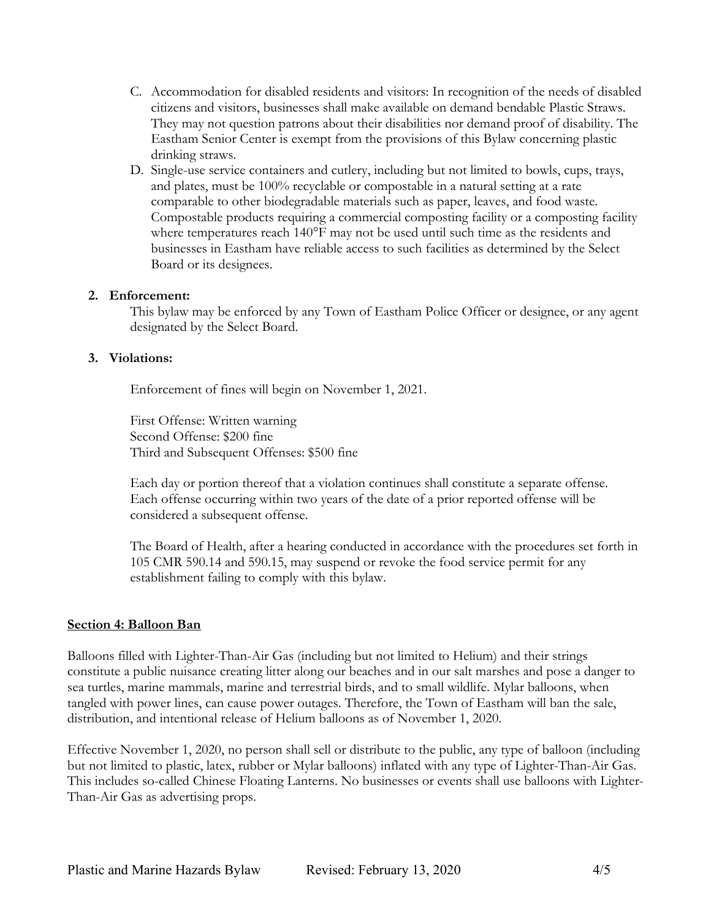- C. Accommodation for disabled residents and visitors: In recognition of the needs of disabled citizens and visitors, businesses shall make available on demand bendable Plastic Straws. They may not question patrons about their disabilities nor demand proof of disability. The Eastham Senior Center is exempt from the provisions of this Bylaw concerning plastic drinking straws.
- D. Single-use service containers and cutlery, including but not limited to bowls, cups, trays, and plates, must be 100% recyclable or compostable in a natural setting at a rate comparable to other biodegradable materials such as paper, leaves, and food waste. Compostable products requiring a commercial composting facility or a composting facility where temperatures reach 140°F may not be used until such time as the residents and businesses in Eastham have reliable access to such facilities as determined by the Select Board or its designees.

#### **2. Enforcement:**

This bylaw may be enforced by any Town of Eastham Police Officer or designee, or any agent designated by the Select Board.

#### **3. Violations:**

Enforcement of fines will begin on November 1, 2021.

First Offense: Written warning Second Offense: \$200 fine Third and Subsequent Offenses: \$500 fine

Each day or portion thereof that a violation continues shall constitute a separate offense. Each offense occurring within two years of the date of a prior reported offense will be considered a subsequent offense.

The Board of Health, after a hearing conducted in accordance with the procedures set forth in 105 CMR 590.14 and 590.15, may suspend or revoke the food service permit for any establishment failing to comply with this bylaw.

#### **Section 4: Balloon Ban**

Balloons filled with Lighter-Than-Air Gas (including but not limited to Helium) and their strings constitute a public nuisance creating litter along our beaches and in our salt marshes and pose a danger to sea turtles, marine mammals, marine and terrestrial birds, and to small wildlife. Mylar balloons, when tangled with power lines, can cause power outages. Therefore, the Town of Eastham will ban the sale, distribution, and intentional release of Helium balloons as of November 1, 2020.

Effective November 1, 2020, no person shall sell or distribute to the public, any type of balloon (including but not limited to plastic, latex, rubber or Mylar balloons) inflated with any type of Lighter-Than-Air Gas. This includes so-called Chinese Floating Lanterns. No businesses or events shall use balloons with Lighter-Than-Air Gas as advertising props.